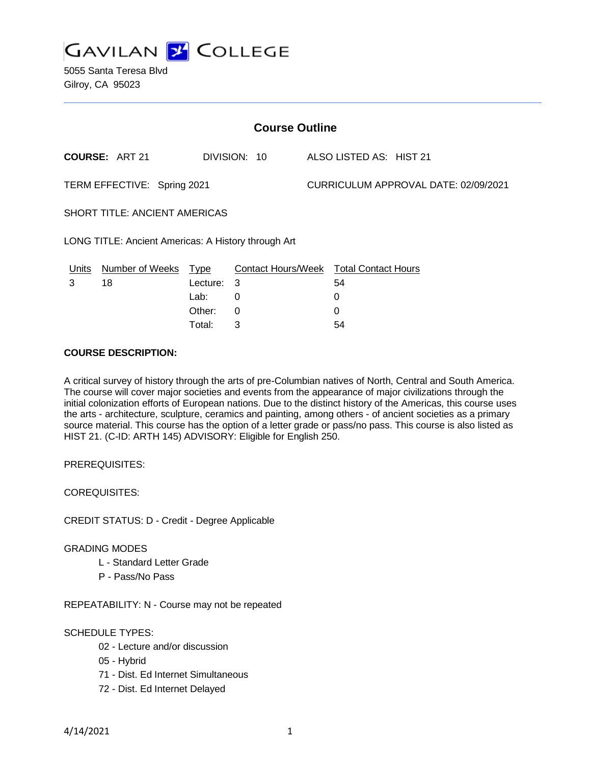

5055 Santa Teresa Blvd Gilroy, CA 95023

| <b>Course Outline</b>                               |                       |            |                                        |  |                                      |  |  |
|-----------------------------------------------------|-----------------------|------------|----------------------------------------|--|--------------------------------------|--|--|
|                                                     | <b>COURSE: ART 21</b> |            | DIVISION: 10                           |  | ALSO LISTED AS: HIST 21              |  |  |
| TERM EFFECTIVE: Spring 2021                         |                       |            |                                        |  | CURRICULUM APPROVAL DATE: 02/09/2021 |  |  |
| <b>SHORT TITLE: ANCIENT AMERICAS</b>                |                       |            |                                        |  |                                      |  |  |
| LONG TITLE: Ancient Americas: A History through Art |                       |            |                                        |  |                                      |  |  |
| Units                                               | Number of Weeks Type  |            | Contact Hours/Week Total Contact Hours |  |                                      |  |  |
| 3                                                   | 18                    | Lecture: 3 |                                        |  | 54                                   |  |  |
|                                                     |                       | Lab:       | 0                                      |  | 0                                    |  |  |
|                                                     |                       | Other:     | $\Omega$                               |  | 0                                    |  |  |
|                                                     |                       | Total:     | 3                                      |  | 54                                   |  |  |

### **COURSE DESCRIPTION:**

A critical survey of history through the arts of pre-Columbian natives of North, Central and South America. The course will cover major societies and events from the appearance of major civilizations through the initial colonization efforts of European nations. Due to the distinct history of the Americas, this course uses the arts - architecture, sculpture, ceramics and painting, among others - of ancient societies as a primary source material. This course has the option of a letter grade or pass/no pass. This course is also listed as HIST 21. (C-ID: ARTH 145) ADVISORY: Eligible for English 250.

PREREQUISITES:

COREQUISITES:

CREDIT STATUS: D - Credit - Degree Applicable

#### GRADING MODES

- L Standard Letter Grade
- P Pass/No Pass

REPEATABILITY: N - Course may not be repeated

#### SCHEDULE TYPES:

- 02 Lecture and/or discussion
- 05 Hybrid
- 71 Dist. Ed Internet Simultaneous
- 72 Dist. Ed Internet Delayed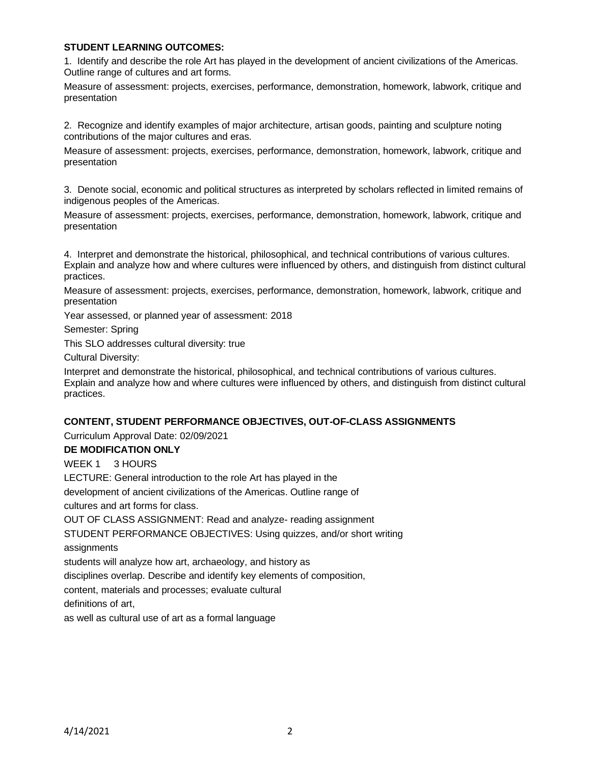### **STUDENT LEARNING OUTCOMES:**

1. Identify and describe the role Art has played in the development of ancient civilizations of the Americas. Outline range of cultures and art forms.

Measure of assessment: projects, exercises, performance, demonstration, homework, labwork, critique and presentation

2. Recognize and identify examples of major architecture, artisan goods, painting and sculpture noting contributions of the major cultures and eras.

Measure of assessment: projects, exercises, performance, demonstration, homework, labwork, critique and presentation

3. Denote social, economic and political structures as interpreted by scholars reflected in limited remains of indigenous peoples of the Americas.

Measure of assessment: projects, exercises, performance, demonstration, homework, labwork, critique and presentation

4. Interpret and demonstrate the historical, philosophical, and technical contributions of various cultures. Explain and analyze how and where cultures were influenced by others, and distinguish from distinct cultural practices.

Measure of assessment: projects, exercises, performance, demonstration, homework, labwork, critique and presentation

Year assessed, or planned year of assessment: 2018

Semester: Spring

This SLO addresses cultural diversity: true

Cultural Diversity:

Interpret and demonstrate the historical, philosophical, and technical contributions of various cultures. Explain and analyze how and where cultures were influenced by others, and distinguish from distinct cultural practices.

#### **CONTENT, STUDENT PERFORMANCE OBJECTIVES, OUT-OF-CLASS ASSIGNMENTS**

Curriculum Approval Date: 02/09/2021

#### **DE MODIFICATION ONLY**

WEEK 1 3 HOURS

LECTURE: General introduction to the role Art has played in the

development of ancient civilizations of the Americas. Outline range of

cultures and art forms for class.

OUT OF CLASS ASSIGNMENT: Read and analyze- reading assignment

STUDENT PERFORMANCE OBJECTIVES: Using quizzes, and/or short writing

assignments

students will analyze how art, archaeology, and history as

disciplines overlap. Describe and identify key elements of composition,

content, materials and processes; evaluate cultural

definitions of art,

as well as cultural use of art as a formal language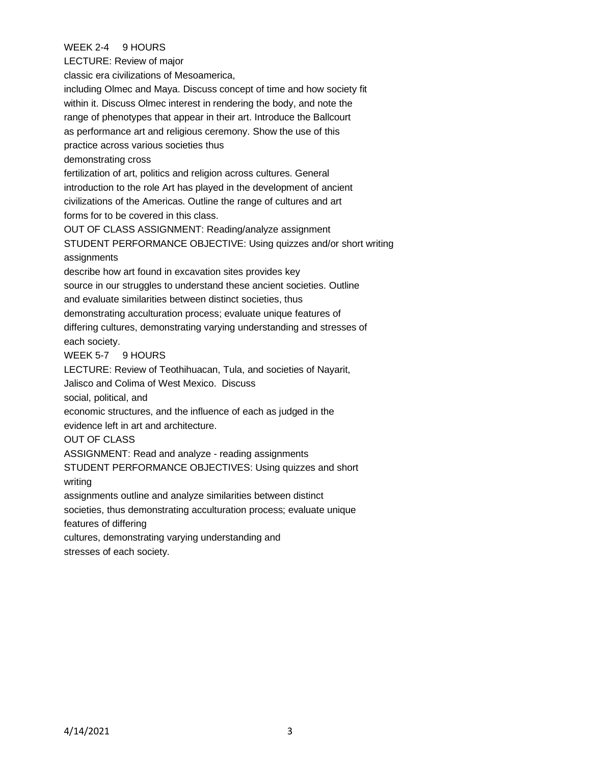# WEEK 2-4 9 HOURS

LECTURE: Review of major

classic era civilizations of Mesoamerica,

including Olmec and Maya. Discuss concept of time and how society fit within it. Discuss Olmec interest in rendering the body, and note the range of phenotypes that appear in their art. Introduce the Ballcourt as performance art and religious ceremony. Show the use of this practice across various societies thus demonstrating cross fertilization of art, politics and religion across cultures. General introduction to the role Art has played in the development of ancient civilizations of the Americas. Outline the range of cultures and art

forms for to be covered in this class.

OUT OF CLASS ASSIGNMENT: Reading/analyze assignment

STUDENT PERFORMANCE OBJECTIVE: Using quizzes and/or short writing assignments

describe how art found in excavation sites provides key

source in our struggles to understand these ancient societies. Outline and evaluate similarities between distinct societies, thus

demonstrating acculturation process; evaluate unique features of

differing cultures, demonstrating varying understanding and stresses of each society.

### WEEK 5-7 9 HOURS

LECTURE: Review of Teothihuacan, Tula, and societies of Nayarit,

Jalisco and Colima of West Mexico. Discuss

social, political, and

economic structures, and the influence of each as judged in the

evidence left in art and architecture.

## OUT OF CLASS

ASSIGNMENT: Read and analyze - reading assignments

STUDENT PERFORMANCE OBJECTIVES: Using quizzes and short writing

assignments outline and analyze similarities between distinct

societies, thus demonstrating acculturation process; evaluate unique features of differing

cultures, demonstrating varying understanding and

stresses of each society.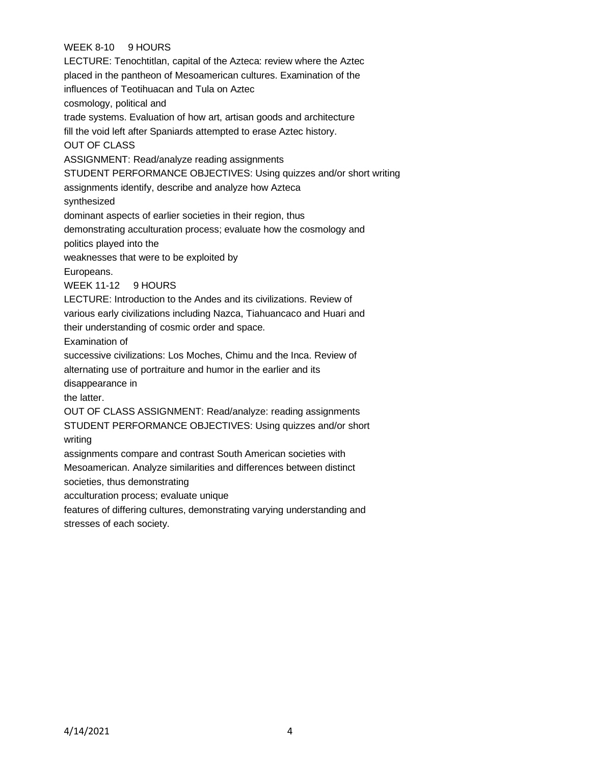# WEEK 8-10 9 HOURS

LECTURE: Tenochtitlan, capital of the Azteca: review where the Aztec placed in the pantheon of Mesoamerican cultures. Examination of the influences of Teotihuacan and Tula on Aztec cosmology, political and trade systems. Evaluation of how art, artisan goods and architecture fill the void left after Spaniards attempted to erase Aztec history. OUT OF CLASS ASSIGNMENT: Read/analyze reading assignments STUDENT PERFORMANCE OBJECTIVES: Using quizzes and/or short writing assignments identify, describe and analyze how Azteca synthesized dominant aspects of earlier societies in their region, thus demonstrating acculturation process; evaluate how the cosmology and politics played into the weaknesses that were to be exploited by Europeans. WEEK 11-12 9 HOURS LECTURE: Introduction to the Andes and its civilizations. Review of various early civilizations including Nazca, Tiahuancaco and Huari and their understanding of cosmic order and space. Examination of successive civilizations: Los Moches, Chimu and the Inca. Review of alternating use of portraiture and humor in the earlier and its disappearance in the latter. OUT OF CLASS ASSIGNMENT: Read/analyze: reading assignments STUDENT PERFORMANCE OBJECTIVES: Using quizzes and/or short writing assignments compare and contrast South American societies with Mesoamerican. Analyze similarities and differences between distinct societies, thus demonstrating acculturation process; evaluate unique features of differing cultures, demonstrating varying understanding and

stresses of each society.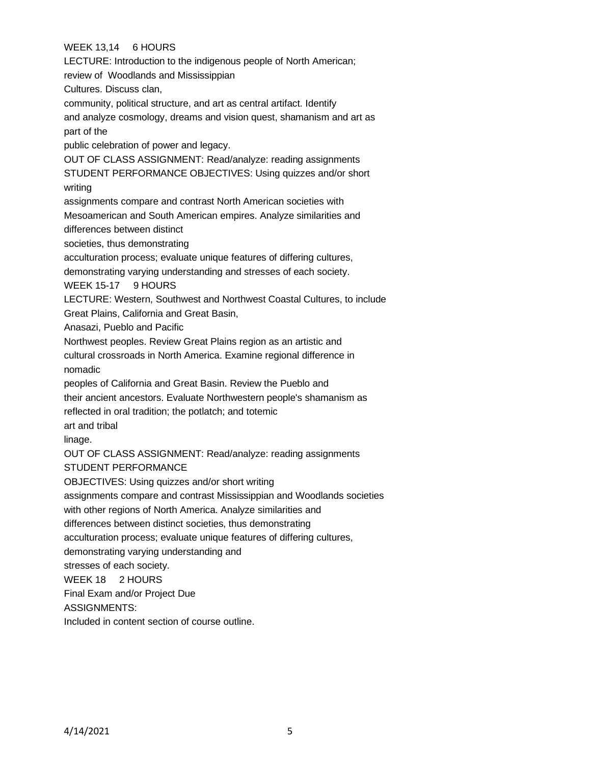# WEEK 13,14 6 HOURS

LECTURE: Introduction to the indigenous people of North American; review of Woodlands and Mississippian Cultures. Discuss clan, community, political structure, and art as central artifact. Identify and analyze cosmology, dreams and vision quest, shamanism and art as part of the public celebration of power and legacy. OUT OF CLASS ASSIGNMENT: Read/analyze: reading assignments STUDENT PERFORMANCE OBJECTIVES: Using quizzes and/or short writing assignments compare and contrast North American societies with Mesoamerican and South American empires. Analyze similarities and differences between distinct societies, thus demonstrating acculturation process; evaluate unique features of differing cultures, demonstrating varying understanding and stresses of each society. WEEK 15-17 9 HOURS LECTURE: Western, Southwest and Northwest Coastal Cultures, to include Great Plains, California and Great Basin, Anasazi, Pueblo and Pacific Northwest peoples. Review Great Plains region as an artistic and cultural crossroads in North America. Examine regional difference in nomadic peoples of California and Great Basin. Review the Pueblo and their ancient ancestors. Evaluate Northwestern people's shamanism as reflected in oral tradition; the potlatch; and totemic art and tribal linage. OUT OF CLASS ASSIGNMENT: Read/analyze: reading assignments STUDENT PERFORMANCE OBJECTIVES: Using quizzes and/or short writing assignments compare and contrast Mississippian and Woodlands societies with other regions of North America. Analyze similarities and differences between distinct societies, thus demonstrating acculturation process; evaluate unique features of differing cultures, demonstrating varying understanding and stresses of each society. WEEK 18 2 HOURS Final Exam and/or Project Due ASSIGNMENTS: Included in content section of course outline.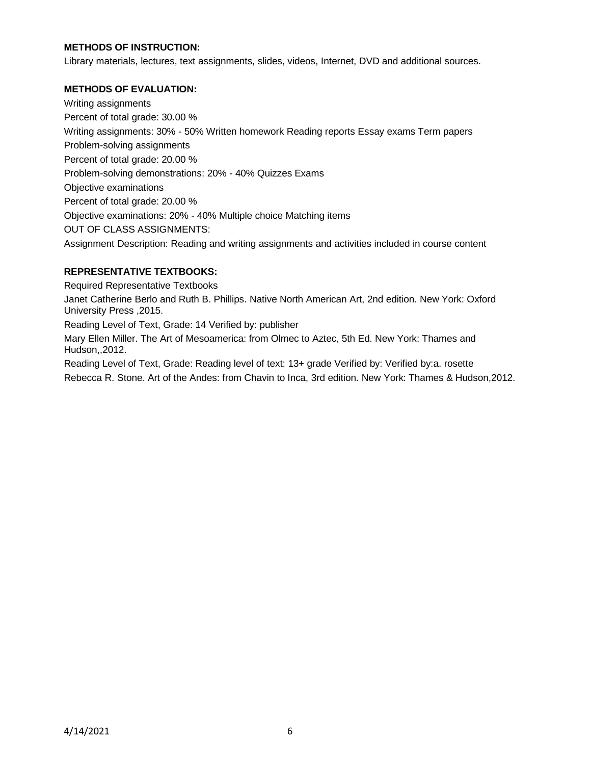## **METHODS OF INSTRUCTION:**

Library materials, lectures, text assignments, slides, videos, Internet, DVD and additional sources.

### **METHODS OF EVALUATION:**

Writing assignments Percent of total grade: 30.00 % Writing assignments: 30% - 50% Written homework Reading reports Essay exams Term papers Problem-solving assignments Percent of total grade: 20.00 % Problem-solving demonstrations: 20% - 40% Quizzes Exams Objective examinations Percent of total grade: 20.00 % Objective examinations: 20% - 40% Multiple choice Matching items OUT OF CLASS ASSIGNMENTS: Assignment Description: Reading and writing assignments and activities included in course content

## **REPRESENTATIVE TEXTBOOKS:**

Required Representative Textbooks

Janet Catherine Berlo and Ruth B. Phillips. Native North American Art, 2nd edition. New York: Oxford University Press ,2015.

Reading Level of Text, Grade: 14 Verified by: publisher

Mary Ellen Miller. The Art of Mesoamerica: from Olmec to Aztec, 5th Ed. New York: Thames and Hudson,,2012.

Reading Level of Text, Grade: Reading level of text: 13+ grade Verified by: Verified by:a. rosette Rebecca R. Stone. Art of the Andes: from Chavin to Inca, 3rd edition. New York: Thames & Hudson,2012.